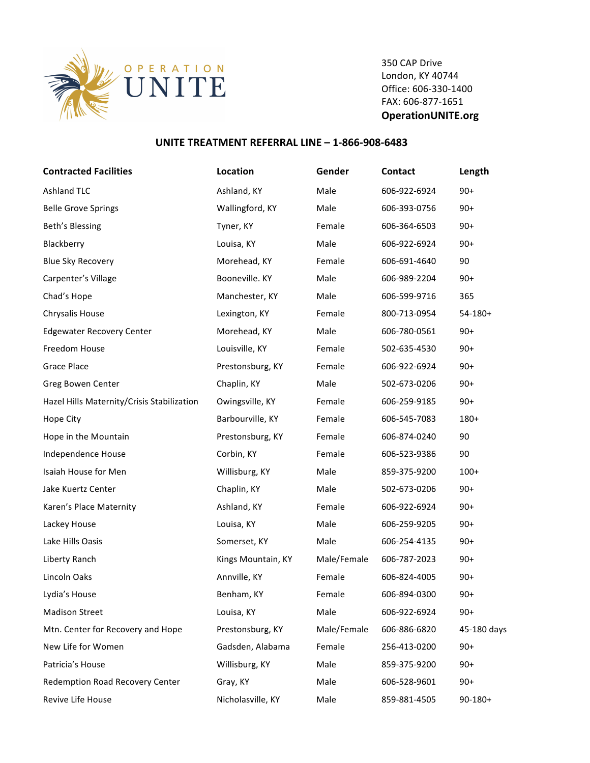

350 CAP Drive London, KY 40744 Office: 606-330-1400 FAX: 606-877-1651 **OperationUNITE.org**

## **UNITE TREATMENT REFERRAL LINE - 1-866-908-6483**

| <b>Contracted Facilities</b>               | Location           | Gender      | <b>Contact</b> | Length       |
|--------------------------------------------|--------------------|-------------|----------------|--------------|
| <b>Ashland TLC</b>                         | Ashland, KY        | Male        | 606-922-6924   | $90+$        |
| <b>Belle Grove Springs</b>                 | Wallingford, KY    | Male        | 606-393-0756   | $90+$        |
| Beth's Blessing                            | Tyner, KY          | Female      | 606-364-6503   | $90+$        |
| Blackberry                                 | Louisa, KY         | Male        | 606-922-6924   | $90+$        |
| <b>Blue Sky Recovery</b>                   | Morehead, KY       | Female      | 606-691-4640   | 90           |
| Carpenter's Village                        | Booneville. KY     | Male        | 606-989-2204   | $90+$        |
| Chad's Hope                                | Manchester, KY     | Male        | 606-599-9716   | 365          |
| Chrysalis House                            | Lexington, KY      | Female      | 800-713-0954   | $54-180+$    |
| <b>Edgewater Recovery Center</b>           | Morehead, KY       | Male        | 606-780-0561   | $90+$        |
| Freedom House                              | Louisville, KY     | Female      | 502-635-4530   | $90+$        |
| <b>Grace Place</b>                         | Prestonsburg, KY   | Female      | 606-922-6924   | $90+$        |
| Greg Bowen Center                          | Chaplin, KY        | Male        | 502-673-0206   | $90+$        |
| Hazel Hills Maternity/Crisis Stabilization | Owingsville, KY    | Female      | 606-259-9185   | $90+$        |
| Hope City                                  | Barbourville, KY   | Female      | 606-545-7083   | 180+         |
| Hope in the Mountain                       | Prestonsburg, KY   | Female      | 606-874-0240   | 90           |
| Independence House                         | Corbin, KY         | Female      | 606-523-9386   | 90           |
| Isaiah House for Men                       | Willisburg, KY     | Male        | 859-375-9200   | $100+$       |
| Jake Kuertz Center                         | Chaplin, KY        | Male        | 502-673-0206   | $90+$        |
| Karen's Place Maternity                    | Ashland, KY        | Female      | 606-922-6924   | $90+$        |
| Lackey House                               | Louisa, KY         | Male        | 606-259-9205   | $90+$        |
| Lake Hills Oasis                           | Somerset, KY       | Male        | 606-254-4135   | $90+$        |
| Liberty Ranch                              | Kings Mountain, KY | Male/Female | 606-787-2023   | $90+$        |
| Lincoln Oaks                               | Annville, KY       | Female      | 606-824-4005   | $90+$        |
| Lydia's House                              | Benham. KY         | Female      | 606-894-0300   | $90+$        |
| <b>Madison Street</b>                      | Louisa, KY         | Male        | 606-922-6924   | $90+$        |
| Mtn. Center for Recovery and Hope          | Prestonsburg, KY   | Male/Female | 606-886-6820   | 45-180 days  |
| New Life for Women                         | Gadsden, Alabama   | Female      | 256-413-0200   | $90+$        |
| Patricia's House                           | Willisburg, KY     | Male        | 859-375-9200   | $90+$        |
| Redemption Road Recovery Center            | Gray, KY           | Male        | 606-528-9601   | $90+$        |
| Revive Life House                          | Nicholasville, KY  | Male        | 859-881-4505   | $90 - 180 +$ |